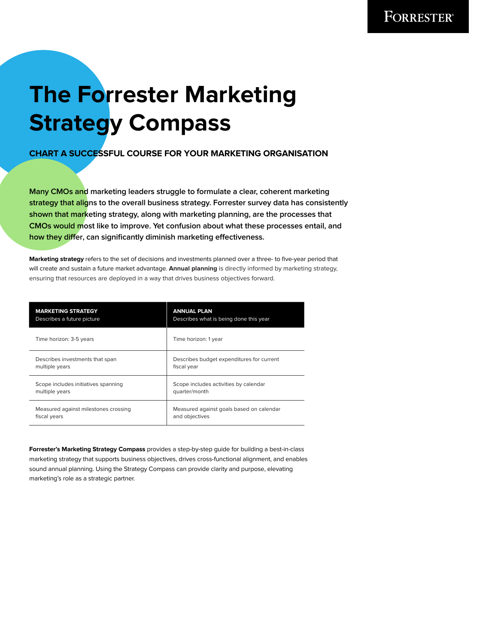## **The Forrester Marketing Strategy Compass**

## **CHART A SUCCESSFUL COURSE FOR YOUR MARKETING ORGANISATION**

**Many CMOs and marketing leaders struggle to formulate a clear, coherent marketing strategy that aligns to the overall business strategy. Forrester survey data has consistently shown that marketing strategy, along with marketing planning, are the processes that CMOs would most like to improve. Yet confusion about what these processes entail, and how they differ, can significantly diminish marketing effectiveness.**

**Marketing strategy** refers to the set of decisions and investments planned over a three- to five-year period that will create and sustain a future market advantage. **Annual planning** is directly informed by marketing strategy, ensuring that resources are deployed in a way that drives business objectives forward.

| <b>MARKETING STRATEGY</b>            | <b>ANNUAL PLAN</b>                        |
|--------------------------------------|-------------------------------------------|
| Describes a future picture           | Describes what is being done this year    |
| Time horizon: 3-5 years              | Time horizon: 1 year                      |
| Describes investments that span      | Describes budget expenditures for current |
| multiple years                       | fiscal year                               |
| Scope includes initiatives spanning  | Scope includes activities by calendar     |
| multiple years                       | quarter/month                             |
| Measured against milestones crossing | Measured against goals based on calendar  |
| fiscal years                         | and objectives                            |

**Forrester's Marketing Strategy Compass** provides a step-by-step guide for building a best-in-class marketing strategy that supports business objectives, drives cross-functional alignment, and enables sound annual planning. Using the Strategy Compass can provide clarity and purpose, elevating marketing's role as a strategic partner.